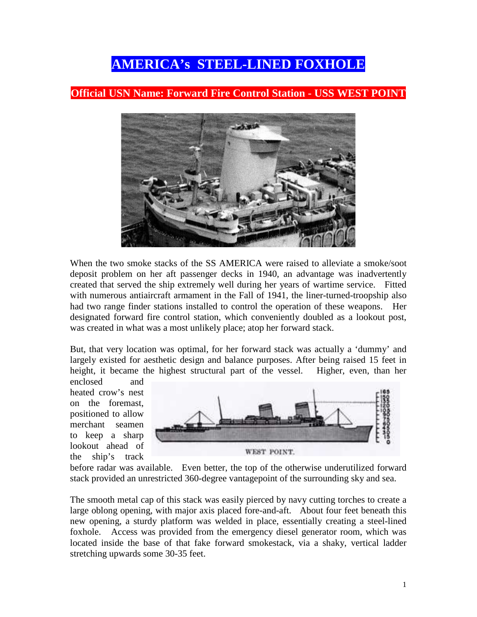## **AMERICA's STEEL-LINED FOXHOLE**

## **Official USN Name: Forward Fire Control Station - USS WEST POINT**



When the two smoke stacks of the SS AMERICA were raised to alleviate a smoke/soot deposit problem on her aft passenger decks in 1940, an advantage was inadvertently created that served the ship extremely well during her years of wartime service. Fitted with numerous antiaircraft armament in the Fall of 1941, the liner-turned-troopship also had two range finder stations installed to control the operation of these weapons. Her designated forward fire control station, which conveniently doubled as a lookout post, was created in what was a most unlikely place; atop her forward stack.

But, that very location was optimal, for her forward stack was actually a 'dummy' and largely existed for aesthetic design and balance purposes. After being raised 15 feet in height, it became the highest structural part of the vessel. Higher, even, than her

enclosed and heated crow's nest on the foremast, positioned to allow merchant seamen to keep a sharp lookout ahead of the ship's track



before radar was available. Even better, the top of the otherwise underutilized forward stack provided an unrestricted 360-degree vantagepoint of the surrounding sky and sea.

The smooth metal cap of this stack was easily pierced by navy cutting torches to create a large oblong opening, with major axis placed fore-and-aft. About four feet beneath this new opening, a sturdy platform was welded in place, essentially creating a steel-lined foxhole. Access was provided from the emergency diesel generator room, which was located inside the base of that fake forward smokestack, via a shaky, vertical ladder stretching upwards some 30-35 feet.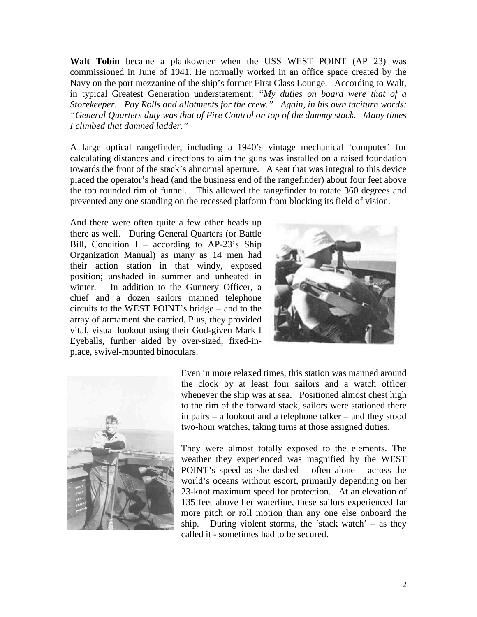**Walt Tobin** became a plankowner when the USS WEST POINT (AP 23) was commissioned in June of 1941. He normally worked in an office space created by the Navy on the port mezzanine of the ship's former First Class Lounge. According to Walt, in typical Greatest Generation understatement: *"My duties on board were that of a Storekeeper. Pay Rolls and allotments for the crew." Again, in his own taciturn words: "General Quarters duty was that of Fire Control on top of the dummy stack. Many times I climbed that damned ladder."* 

A large optical rangefinder, including a 1940's vintage mechanical 'computer' for calculating distances and directions to aim the guns was installed on a raised foundation towards the front of the stack's abnormal aperture. A seat that was integral to this device placed the operator's head (and the business end of the rangefinder) about four feet above the top rounded rim of funnel. This allowed the rangefinder to rotate 360 degrees and prevented any one standing on the recessed platform from blocking its field of vision.

And there were often quite a few other heads up there as well. During General Quarters (or Battle Bill, Condition  $I$  – according to AP-23's Ship Organization Manual) as many as 14 men had their action station in that windy, exposed position; unshaded in summer and unheated in winter. In addition to the Gunnery Officer, a chief and a dozen sailors manned telephone circuits to the WEST POINT's bridge – and to the array of armament she carried. Plus, they provided vital, visual lookout using their God-given Mark I Eyeballs, further aided by over-sized, fixed-inplace, swivel-mounted binoculars.





Even in more relaxed times, this station was manned around the clock by at least four sailors and a watch officer whenever the ship was at sea. Positioned almost chest high to the rim of the forward stack, sailors were stationed there in pairs – a lookout and a telephone talker – and they stood two-hour watches, taking turns at those assigned duties.

They were almost totally exposed to the elements. The weather they experienced was magnified by the WEST POINT's speed as she dashed – often alone – across the world's oceans without escort, primarily depending on her 23-knot maximum speed for protection. At an elevation of 135 feet above her waterline, these sailors experienced far more pitch or roll motion than any one else onboard the ship. During violent storms, the 'stack watch' – as they called it - sometimes had to be secured.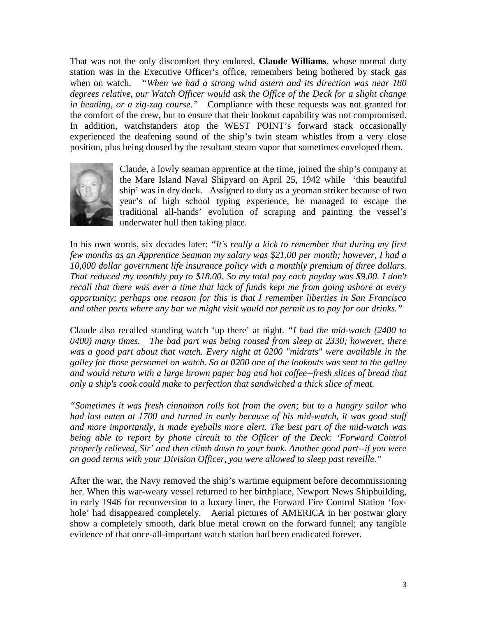That was not the only discomfort they endured. **Claude Williams**, whose normal duty station was in the Executive Officer's office, remembers being bothered by stack gas when on watch. *"When we had a strong wind astern and its direction was near 180 degrees relative, our Watch Officer would ask the Office of the Deck for a slight change in heading, or a zig-zag course."* Compliance with these requests was not granted for the comfort of the crew, but to ensure that their lookout capability was not compromised. In addition, watchstanders atop the WEST POINT's forward stack occasionally experienced the deafening sound of the ship's twin steam whistles from a very close position, plus being doused by the resultant steam vapor that sometimes enveloped them.



Claude, a lowly seaman apprentice at the time, joined the ship's company at the Mare Island Naval Shipyard on April 25, 1942 while 'this beautiful ship' was in dry dock. Assigned to duty as a yeoman striker because of two year's of high school typing experience, he managed to escape the traditional all-hands' evolution of scraping and painting the vessel's underwater hull then taking place.

In his own words, six decades later: *"It's really a kick to remember that during my first few months as an Apprentice Seaman my salary was \$21.00 per month; however, I had a 10,000 dollar government life insurance policy with a monthly premium of three dollars. That reduced my monthly pay to \$18.00. So my total pay each payday was \$9.00. I don't recall that there was ever a time that lack of funds kept me from going ashore at every opportunity; perhaps one reason for this is that I remember liberties in San Francisco and other ports where any bar we might visit would not permit us to pay for our drinks."* 

Claude also recalled standing watch 'up there' at night. *"I had the mid-watch (2400 to 0400) many times. The bad part was being roused from sleep at 2330; however, there was a good part about that watch. Every night at 0200 "midrats" were available in the galley for those personnel on watch. So at 0200 one of the lookouts was sent to the galley and would return with a large brown paper bag and hot coffee--fresh slices of bread that only a ship's cook could make to perfection that sandwiched a thick slice of meat.* 

*"Sometimes it was fresh cinnamon rolls hot from the oven; but to a hungry sailor who had last eaten at 1700 and turned in early because of his mid-watch, it was good stuff and more importantly, it made eyeballs more alert. The best part of the mid-watch was being able to report by phone circuit to the Officer of the Deck: 'Forward Control properly relieved, Sir' and then climb down to your bunk. Another good part--if you were on good terms with your Division Officer, you were allowed to sleep past reveille."* 

After the war, the Navy removed the ship's wartime equipment before decommissioning her. When this war-weary vessel returned to her birthplace, Newport News Shipbuilding, in early 1946 for reconversion to a luxury liner, the Forward Fire Control Station 'foxhole' had disappeared completely. Aerial pictures of AMERICA in her postwar glory show a completely smooth, dark blue metal crown on the forward funnel; any tangible evidence of that once-all-important watch station had been eradicated forever.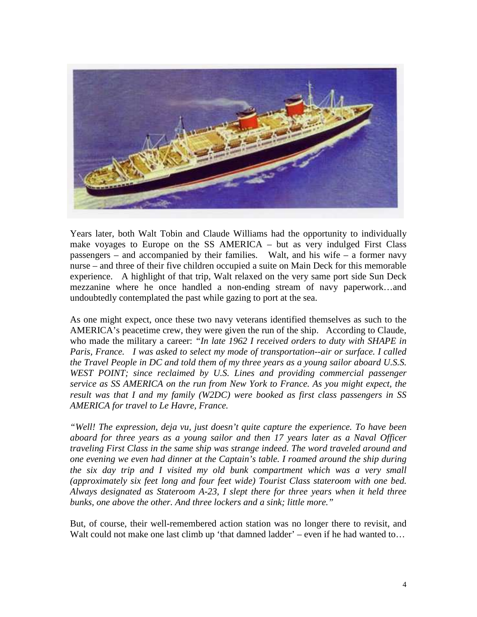

Years later, both Walt Tobin and Claude Williams had the opportunity to individually make voyages to Europe on the SS AMERICA – but as very indulged First Class passengers – and accompanied by their families. Walt, and his wife – a former navy nurse – and three of their five children occupied a suite on Main Deck for this memorable experience. A highlight of that trip, Walt relaxed on the very same port side Sun Deck mezzanine where he once handled a non-ending stream of navy paperwork…and undoubtedly contemplated the past while gazing to port at the sea.

As one might expect, once these two navy veterans identified themselves as such to the AMERICA's peacetime crew, they were given the run of the ship. According to Claude, who made the military a career: *"In late 1962 I received orders to duty with SHAPE in Paris, France. I was asked to select my mode of transportation--air or surface. I called the Travel People in DC and told them of my three years as a young sailor aboard U.S.S. WEST POINT; since reclaimed by U.S. Lines and providing commercial passenger service as SS AMERICA on the run from New York to France. As you might expect, the result was that I and my family (W2DC) were booked as first class passengers in SS AMERICA for travel to Le Havre, France.* 

*"Well! The expression, deja vu, just doesn't quite capture the experience. To have been aboard for three years as a young sailor and then 17 years later as a Naval Officer traveling First Class in the same ship was strange indeed. The word traveled around and one evening we even had dinner at the Captain's table. I roamed around the ship during the six day trip and I visited my old bunk compartment which was a very small (approximately six feet long and four feet wide) Tourist Class stateroom with one bed. Always designated as Stateroom A-23, I slept there for three years when it held three bunks, one above the other. And three lockers and a sink; little more."*

But, of course, their well-remembered action station was no longer there to revisit, and Walt could not make one last climb up 'that damned ladder' – even if he had wanted to...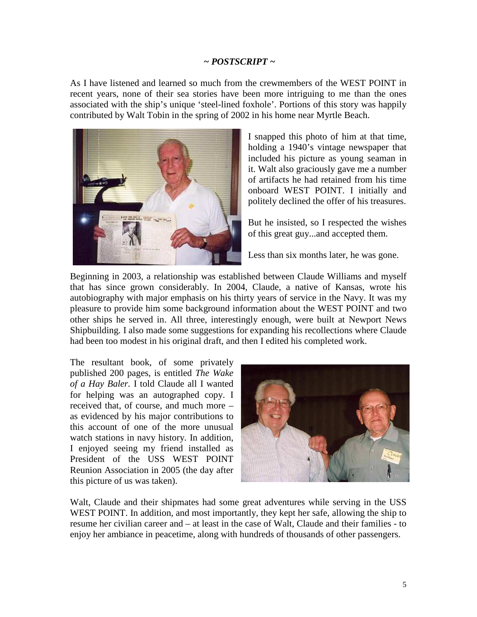## *~ POSTSCRIPT ~*

As I have listened and learned so much from the crewmembers of the WEST POINT in recent years, none of their sea stories have been more intriguing to me than the ones associated with the ship's unique 'steel-lined foxhole'. Portions of this story was happily contributed by Walt Tobin in the spring of 2002 in his home near Myrtle Beach.



I snapped this photo of him at that time, holding a 1940's vintage newspaper that included his picture as young seaman in it. Walt also graciously gave me a number of artifacts he had retained from his time onboard WEST POINT. I initially and politely declined the offer of his treasures.

But he insisted, so I respected the wishes of this great guy...and accepted them.

Less than six months later, he was gone.

Beginning in 2003, a relationship was established between Claude Williams and myself that has since grown considerably. In 2004, Claude, a native of Kansas, wrote his autobiography with major emphasis on his thirty years of service in the Navy. It was my pleasure to provide him some background information about the WEST POINT and two other ships he served in. All three, interestingly enough, were built at Newport News Shipbuilding. I also made some suggestions for expanding his recollections where Claude had been too modest in his original draft, and then I edited his completed work.

The resultant book, of some privately published 200 pages, is entitled *The Wake of a Hay Baler.* I told Claude all I wanted for helping was an autographed copy. I received that, of course, and much more – as evidenced by his major contributions to this account of one of the more unusual watch stations in navy history. In addition, I enjoyed seeing my friend installed as President of the USS WEST POINT Reunion Association in 2005 (the day after this picture of us was taken).



Walt, Claude and their shipmates had some great adventures while serving in the USS WEST POINT. In addition, and most importantly, they kept her safe, allowing the ship to resume her civilian career and – at least in the case of Walt, Claude and their families - to enjoy her ambiance in peacetime, along with hundreds of thousands of other passengers.